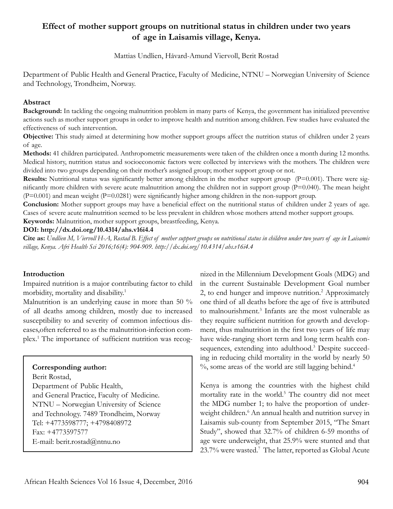# **Effect of mother support groups on nutritional status in children under two years of age in Laisamis village, Kenya.**

Mattias Undlien, Håvard-Amund Viervoll, Berit Rostad

Department of Public Health and General Practice, Faculty of Medicine, NTNU – Norwegian University of Science and Technology, Trondheim, Norway.

## **Abstract**

**Background:** In tackling the ongoing malnutrition problem in many parts of Kenya, the government has initialized preventive actions such as mother support groups in order to improve health and nutrition among children. Few studies have evaluated the effectiveness of such intervention.

**Objective:** This study aimed at determining how mother support groups affect the nutrition status of children under 2 years of age.

**Methods:** 41 children participated. Anthropometric measurements were taken of the children once a month during 12 months. Medical history, nutrition status and socioeconomic factors were collected by interviews with the mothers. The children were divided into two groups depending on their mother's assigned group; mother support group or not.

**Results:** Nutritional status was significantly better among children in the mother support group (P=0.001). There were significantly more children with severe acute malnutrition among the children not in support group (P=0.040). The mean height  $(P=0.001)$  and mean weight  $(P=0.0281)$  were significantly higher among children in the non-support group.

**Conclusion:** Mother support groups may have a beneficial effect on the nutritional status of children under 2 years of age. Cases of severe acute malnutrition seemed to be less prevalent in children whose mothers attend mother support groups.

**Keywords:** Malnutrition, mother support groups, breastfeeding, Kenya.

#### **DOI: http://dx.doi.org/10.4314/ahs.v16i4.4**

**Cite as:** *Undlien M, Viervoll H-A, Rostad B. Effect of mother support groups on nutritional status in children under two years of age in Laisamis village, Kenya. Afri Health Sci 2016;16(4): 904-909. http://dx.doi.org/10.4314/ahs.v16i4.4* 

# **Introduction**

Impaired nutrition is a major contributing factor to child morbidity, mortality and disability.<sup>1</sup>

Malnutrition is an underlying cause in more than 50 % of all deaths among children, mostly due to increased susceptibility to and severity of common infectious diseases,often referred to as the malnutrition-infection complex.1 The importance of sufficient nutrition was recog-

# **Corresponding author:**

Berit Rostad, Department of Public Health, and General Practice, Faculty of Medicine. NTNU – Norwegian University of Science and Technology. 7489 Trondheim, Norway Tel: +4773598777; +4798408972 Fax: +4773597577 E-mail: berit.rostad@ntnu.no

nized in the Millennium Development Goals (MDG) and in the current Sustainable Development Goal number 2, to end hunger and improve nutrition.<sup>2</sup> Approximately one third of all deaths before the age of five is attributed to malnourishment.<sup>3</sup> Infants are the most vulnerable as they require sufficient nutrition for growth and development, thus malnutrition in the first two years of life may have wide-ranging short term and long term health consequences, extending into adulthood.<sup>3</sup> Despite succeeding in reducing child mortality in the world by nearly 50 %, some areas of the world are still lagging behind.<sup>4</sup>

Kenya is among the countries with the highest child mortality rate in the world.<sup>5</sup> The country did not meet the MDG number 1; to halve the proportion of underweight children.<sup>6</sup> An annual health and nutrition survey in Laisamis sub-county from September 2015, "The Smart Study", showed that 32.7% of children 6-59 months of age were underweight, that 25.9% were stunted and that 23.7% were wasted.<sup>7</sup> The latter, reported as Global Acute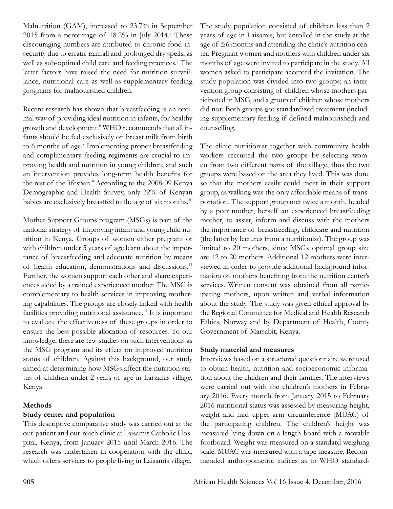Malnutrition (GAM), increased to 23.7% in September 2015 from a percentage of  $18.2\%$  in July 2014.<sup>7</sup> These discouraging numbers are attributed to chronic food insecurity due to erratic rainfall and prolonged dry spells, as well as sub-optimal child care and feeding practices.<sup>7</sup> The latter factors have raised the need for nutrition surveillance, nutritional care as well as supplementary feeding programs for malnourished children.

Recent research has shown that breastfeeding is an optimal way of providing ideal nutrition in infants, for healthy growth and development.<sup>8</sup> WHO recommends that all infants should be fed exclusively on breast milk from birth to 6 months of age.<sup>8</sup> Implementing proper breastfeeding and complimentary feeding regiments are crucial to improving health and nutrition in young children, and such an intervention provides long-term health benefits for the rest of the lifespan.<sup>9</sup> According to the 2008-09 Kenya Demographic and Health Survey, only 32% of Kenyan babies are exclusively breastfed to the age of six months.<sup>10</sup>

Mother Support Groups program (MSGs) is part of the national strategy of improving infant and young child nutrition in Kenya. Groups of women either pregnant or with children under 5 years of age learn about the importance of breastfeeding and adequate nutrition by means of health education, demonstrations and discussions.<sup>11</sup> Further, the women support each other and share experiences aided by a trained experienced mother. The MSG is complementary to health services in improving mothering capabilities. The groups are closely linked with health facilities providing nutritional assistance.<sup>11</sup> It is important to evaluate the effectiveness of these groups in order to ensure the best possible allocation of resources. To our knowledge, there are few studies on such interventions as the MSG program and its effect on improved nutrition status of children. Against this background, our study aimed at determining how MSGs affect the nutrition status of children under 2 years of age in Laisamis village, Kenya.

# **Methods**

# **Study center and population**

This descriptive comparative study was carried out at the out-patient and out-reach clinic at Laisamis Catholic Hospital, Kenya, from January 2015 until March 2016. The research was undertaken in cooperation with the clinic, which offers services to people living in Laisamis village.

The study population consisted of children less than 2 years of age in Laisamis, but enrolled in the study at the age of ≤6 months and attending the clinic's nutrition center. Pregnant women and mothers with children under six months of age were invited to participate in the study. All women asked to participate accepted the invitation. The study population was divided into two groups; an intervention group consisting of children whose mothers participated in MSG, and a group of children whose mothers did not. Both groups got standardized treatment (including supplementary feeding if defined malnourished) and counselling.

The clinic nutritionist together with community health workers recruited the two groups by selecting women from two different parts of the village, thus the two groups were based on the area they lived. This was done so that the mothers easily could meet in their support group, as walking was the only affordable means of transportation. The support group met twice a month, headed by a peer mother, herself an experienced breastfeeding mother, to assist, inform and discuss with the mothers the importance of breastfeeding, childcare and nutrition (the latter by lectures from a nutritionist). The group was limited to 20 mothers, since MSGs optimal group size are 12 to 20 mothers. Additional 12 mothers were interviewed in order to provide additional background information on mothers benefiting from the nutrition center's services. Written consent was obtained from all participating mothers, upon written and verbal information about the study. The study was given ethical approval by the Regional Committee for Medical and Health Research Ethics, Norway and by Department of Health, County Government of Marsabit, Kenya.

# **Study material and measures**

Interviews based on a structured questionnaire were used to obtain health, nutrition and socioeconomic information about the children and their families. The interviews were carried out with the children's mothers in February 2016. Every month from January 2015 to February 2016 nutritional status was assessed by measuring height, weight and mid upper arm circumference (MUAC) of the participating children. The children's height was measured lying down on a length board with a movable footboard. Weight was measured on a standard weighing scale. MUAC was measured with a tape measure. Recommended anthropometric indices as to WHO standard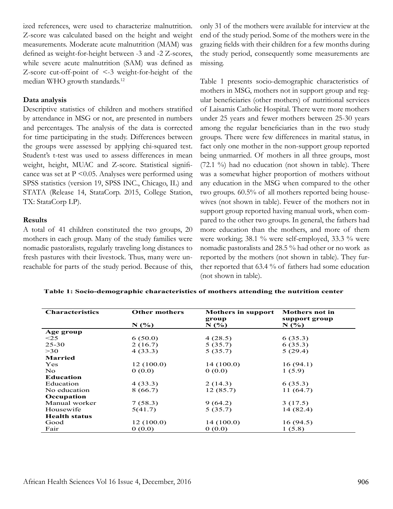ized references, were used to characterize malnutrition. Z-score was calculated based on the height and weight measurements. Moderate acute malnutrition (MAM) was defined as weight-for-height between -3 and -2 Z-scores, while severe acute malnutrition (SAM) was defined as Z-score cut-off-point of <-3 weight-for-height of the median WHO growth standards.12

#### **Data analysis**

Descriptive statistics of children and mothers stratified by attendance in MSG or not, are presented in numbers and percentages. The analysis of the data is corrected for time participating in the study. Differences between the groups were assessed by applying chi-squared test. Student's t-test was used to assess differences in mean weight, height, MUAC and Z-score. Statistical significance was set at  $P \leq 0.05$ . Analyses were performed using SPSS statistics (version 19, SPSS INC., Chicago, IL) and STATA (Release 14, StataCorp. 2015, College Station, TX: StataCorp LP).

## **Results**

A total of 41 children constituted the two groups, 20 mothers in each group. Many of the study families were nomadic pastoralists, regularly traveling long distances to fresh pastures with their livestock. Thus, many were unreachable for parts of the study period. Because of this, only 31 of the mothers were available for interview at the end of the study period. Some of the mothers were in the grazing fields with their children for a few months during the study period, consequently some measurements are missing.

Table 1 presents socio-demographic characteristics of mothers in MSG, mothers not in support group and regular beneficiaries (other mothers) of nutritional services of Laisamis Catholic Hospital. There were more mothers under 25 years and fewer mothers between 25-30 years among the regular beneficiaries than in the two study groups. There were few differences in marital status, in fact only one mother in the non-support group reported being unmarried. Of mothers in all three groups, most (72.1 %) had no education (not shown in table). There was a somewhat higher proportion of mothers without any education in the MSG when compared to the other two groups. 60.5% of all mothers reported being housewives (not shown in table). Fewer of the mothers not in support group reported having manual work, when compared to the other two groups. In general, the fathers had more education than the mothers, and more of them were working; 38.1 % were self-employed, 33.3 % were nomadic pastoralists and 28.5 % had other or no work as reported by the mothers (not shown in table). They further reported that 63.4 % of fathers had some education (not shown in table).

| <b>Characteristics</b> | <b>Other mothers</b> | <b>Mothers in support</b> | <b>Mothers not in</b> |
|------------------------|----------------------|---------------------------|-----------------------|
|                        |                      | group                     | support group         |
|                        | N(%                  | N(%                       | N(%                   |
| Age group              |                      |                           |                       |
| $\leq$ 25              | 6(50.0)              | 4(28.5)                   | 6(35.3)               |
| $25 - 30$              | 2(16.7)              | 5(35.7)                   | 6(35.3)               |
| >30                    | 4(33.3)              | 5(35.7)                   | 5(29.4)               |
| <b>Married</b>         |                      |                           |                       |
| <b>Yes</b>             | 12(100.0)            | 14(100.0)                 | 16(94.1)              |
| $\overline{N}_{O}$     | 0(0.0)               | 0(0.0)                    | 1(5.9)                |
| <b>Education</b>       |                      |                           |                       |
| Education              | 4(33.3)              | 2(14.3)                   | 6(35.3)               |
| No education           | 8(66.7)              | 12(85.7)                  | 11 (64.7)             |
| Occupation             |                      |                           |                       |
| Manual worker          | 7(58.3)              | 9(64.2)                   | 3(17.5)               |
| Housewife              | 5(41.7)              | 5(35.7)                   | 14 (82.4)             |
| <b>Health status</b>   |                      |                           |                       |
| Good                   | 12(100.0)            | 14 (100.0)                | 16(94.5)              |
| Fair                   | 0(0.0)               | 0(0.0)                    | 1(5.8)                |

**Table 1: Socio-demographic characteristics of mothers attending the nutrition center**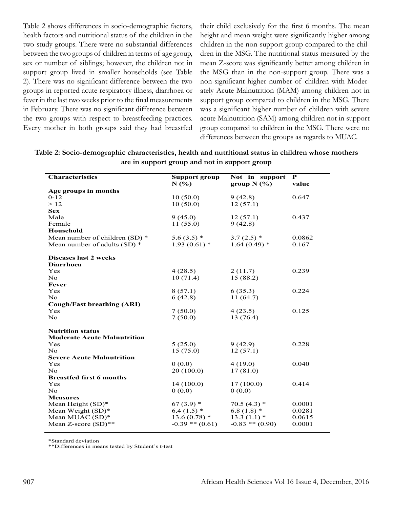Table 2 shows differences in socio-demographic factors, health factors and nutritional status of the children in the two study groups. There were no substantial differences between the two groups of children in terms of age group, sex or number of siblings; however, the children not in support group lived in smaller households (see Table 2). There was no significant difference between the two groups in reported acute respiratory illness, diarrhoea or fever in the last two weeks prior to the final measurements in February. There was no significant difference between the two groups with respect to breastfeeding practices. Every mother in both groups said they had breastfed

their child exclusively for the first 6 months. The mean height and mean weight were significantly higher among children in the non-support group compared to the children in the MSG. The nutritional status measured by the mean Z-score was significantly better among children in the MSG than in the non-support group. There was a non-significant higher number of children with Moderately Acute Malnutrition (MAM) among children not in support group compared to children in the MSG. There was a significant higher number of children with severe acute Malnutrition (SAM) among children not in support group compared to children in the MSG. There were no differences between the groups as regards to MUAC.

| <b>Characteristics</b>             | <b>Support group</b><br>N(% | Not in support<br>group $N$ (%) | P<br>value |
|------------------------------------|-----------------------------|---------------------------------|------------|
| Age groups in months               |                             |                                 |            |
| $0 - 12$                           | 10(50.0)                    | 9(42.8)                         | 0.647      |
| >12                                | 10(50.0)                    | 12(57.1)                        |            |
| <b>Sex</b>                         |                             |                                 |            |
| Male                               | 9(45.0)                     | 12(57.1)                        | 0.437      |
| Female                             | 11(55.0)                    | 9(42.8)                         |            |
| Household                          |                             |                                 |            |
| Mean number of children (SD) *     | $5.6(3.5)$ *                | $3.7(2.5)$ *                    | 0.0862     |
| Mean number of adults (SD) *       | $1.93(0.61)$ *              | $1.64(0.49)$ *                  | 0.167      |
| <b>Diseases last 2 weeks</b>       |                             |                                 |            |
| <b>Diarrhoea</b>                   |                             |                                 |            |
| Yes                                | 4(28.5)                     | 2(11.7)                         | 0.239      |
| No                                 | 10(71.4)                    | 15 (88.2)                       |            |
| Fever                              |                             |                                 |            |
| Yes                                | 8(57.1)                     | 6(35.3)                         | 0.224      |
| $\overline{N}$                     | 6(42.8)                     | 11 (64.7)                       |            |
| <b>Cough/Fast breathing (ARI)</b>  |                             |                                 |            |
| Yes                                | 7(50.0)                     | 4(23.5)                         | 0.125      |
| No                                 | 7(50.0)                     | 13 (76.4)                       |            |
| <b>Nutrition status</b>            |                             |                                 |            |
| <b>Moderate Acute Malnutrition</b> |                             |                                 |            |
| Yes                                | 5(25.0)                     | 9(42.9)                         | 0.228      |
| $\overline{N}$                     | 15(75.0)                    | 12(57.1)                        |            |
| <b>Severe Acute Malnutrition</b>   |                             |                                 |            |
| Yes                                | 0(0.0)                      | 4(19.0)                         | 0.040      |
| No                                 | 20(100.0)                   | 17 (81.0)                       |            |
| <b>Breastfed first 6 months</b>    |                             |                                 |            |
| Yes                                | 14(100.0)                   | 17(100.0)                       | 0.414      |
| No                                 | 0(0.0)                      | 0(0.0)                          |            |
| <b>Measures</b>                    |                             |                                 |            |
| Mean Height (SD)*                  | 67 $(3.9)$ *                | $70.5(4.3)$ *                   | 0.0001     |
| Mean Weight (SD)*                  | $6.4(1.5)$ *                | 6.8 $(1.8)$ *                   | 0.0281     |
| Mean MUAC (SD)*                    | $13.6(0.78)$ *              | $13.3(1.1)$ *                   | 0.0615     |
| Mean Z-score (SD)**                | $-0.39$ ** $(0.61)$         | $-0.83$ ** (0.90)               | 0.0001     |
|                                    |                             |                                 |            |

**Table 2: Socio-demographic characteristics, health and nutritional status in children whose mothers are in support group and not in support group**

\*Standard deviation

\*\*Differences in means tested by Student's t-test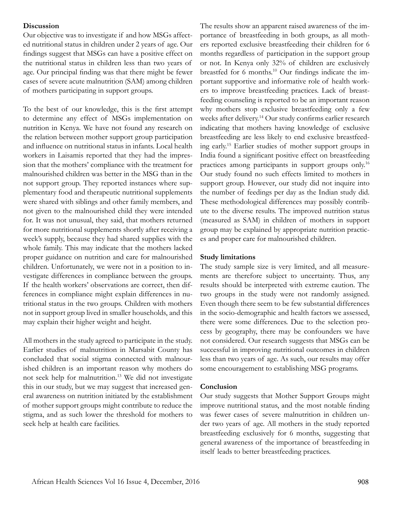## **Discussion**

Our objective was to investigate if and how MSGs affected nutritional status in children under 2 years of age. Our findings suggest that MSGs can have a positive effect on the nutritional status in children less than two years of age. Our principal finding was that there might be fewer cases of severe acute malnutrition (SAM) among children of mothers participating in support groups.

To the best of our knowledge, this is the first attempt to determine any effect of MSGs implementation on nutrition in Kenya. We have not found any research on the relation between mother support group participation and influence on nutritional status in infants. Local health workers in Laisamis reported that they had the impression that the mothers' compliance with the treatment for malnourished children was better in the MSG than in the not support group. They reported instances where supplementary food and therapeutic nutritional supplements were shared with siblings and other family members, and not given to the malnourished child they were intended for. It was not unusual, they said, that mothers returned for more nutritional supplements shortly after receiving a week's supply, because they had shared supplies with the whole family. This may indicate that the mothers lacked proper guidance on nutrition and care for malnourished children. Unfortunately, we were not in a position to investigate differences in compliance between the groups. If the health workers' observations are correct, then differences in compliance might explain differences in nutritional status in the two groups. Children with mothers not in support group lived in smaller households, and this may explain their higher weight and height.

All mothers in the study agreed to participate in the study. Earlier studies of malnutrition in Marsabit County has concluded that social stigma connected with malnourished children is an important reason why mothers do not seek help for malnutrition.13 We did not investigate this in our study, but we may suggest that increased general awareness on nutrition initiated by the establishment of mother support groups might contribute to reduce the stigma, and as such lower the threshold for mothers to seek help at health care facilities.

The results show an apparent raised awareness of the importance of breastfeeding in both groups, as all mothers reported exclusive breastfeeding their children for 6 months regardless of participation in the support group or not. In Kenya only 32% of children are exclusively breastfed for 6 months.10 Our findings indicate the important supportive and informative role of health workers to improve breastfeeding practices. Lack of breastfeeding counseling is reported to be an important reason why mothers stop exclusive breastfeeding only a few weeks after delivery.<sup>14</sup> Our study confirms earlier research indicating that mothers having knowledge of exclusive breastfeeding are less likely to end exclusive breastfeeding early.15 Earlier studies of mother support groups in India found a significant positive effect on breastfeeding practices among participants in support groups only.16 Our study found no such effects limited to mothers in support group. However, our study did not inquire into the number of feedings per day as the Indian study did. These methodological differences may possibly contribute to the diverse results. The improved nutrition status (measured as SAM) in children of mothers in support group may be explained by appropriate nutrition practices and proper care for malnourished children.

## **Study limitations**

The study sample size is very limited, and all measurements are therefore subject to uncertainty. Thus, any results should be interpreted with extreme caution. The two groups in the study were not randomly assigned. Even though there seem to be few substantial differences in the socio-demographic and health factors we assessed, there were some differences. Due to the selection process by geography, there may be confounders we have not considered. Our research suggests that MSGs can be successful in improving nutritional outcomes in children less than two years of age. As such, our results may offer some encouragement to establishing MSG programs.

#### **Conclusion**

Our study suggests that Mother Support Groups might improve nutritional status, and the most notable finding was fewer cases of severe malnutrition in children under two years of age. All mothers in the study reported breastfeeding exclusively for 6 months, suggesting that general awareness of the importance of breastfeeding in itself leads to better breastfeeding practices.